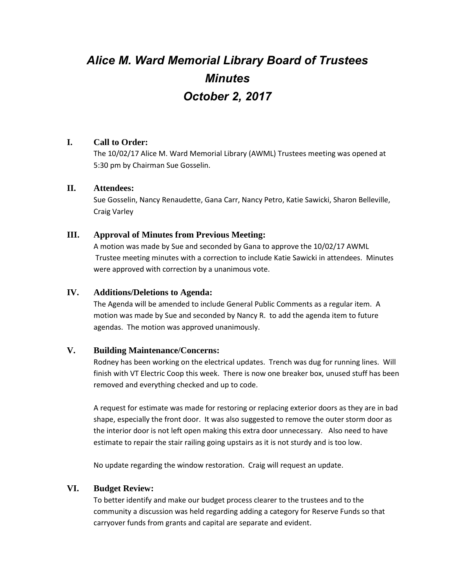# *Alice M. Ward Memorial Library Board of Trustees Minutes October 2, 2017*

## **I. Call to Order:**

The 10/02/17 Alice M. Ward Memorial Library (AWML) Trustees meeting was opened at 5:30 pm by Chairman Sue Gosselin.

#### **II. Attendees:**

Sue Gosselin, Nancy Renaudette, Gana Carr, Nancy Petro, Katie Sawicki, Sharon Belleville, Craig Varley

## **III. Approval of Minutes from Previous Meeting:**

A motion was made by Sue and seconded by Gana to approve the 10/02/17 AWML Trustee meeting minutes with a correction to include Katie Sawicki in attendees. Minutes were approved with correction by a unanimous vote.

## **IV. Additions/Deletions to Agenda:**

The Agenda will be amended to include General Public Comments as a regular item. A motion was made by Sue and seconded by Nancy R. to add the agenda item to future agendas. The motion was approved unanimously.

# **V. Building Maintenance/Concerns:**

Rodney has been working on the electrical updates. Trench was dug for running lines. Will finish with VT Electric Coop this week. There is now one breaker box, unused stuff has been removed and everything checked and up to code.

A request for estimate was made for restoring or replacing exterior doors as they are in bad shape, especially the front door. It was also suggested to remove the outer storm door as the interior door is not left open making this extra door unnecessary. Also need to have estimate to repair the stair railing going upstairs as it is not sturdy and is too low.

No update regarding the window restoration. Craig will request an update.

# **VI. Budget Review:**

To better identify and make our budget process clearer to the trustees and to the community a discussion was held regarding adding a category for Reserve Funds so that carryover funds from grants and capital are separate and evident.